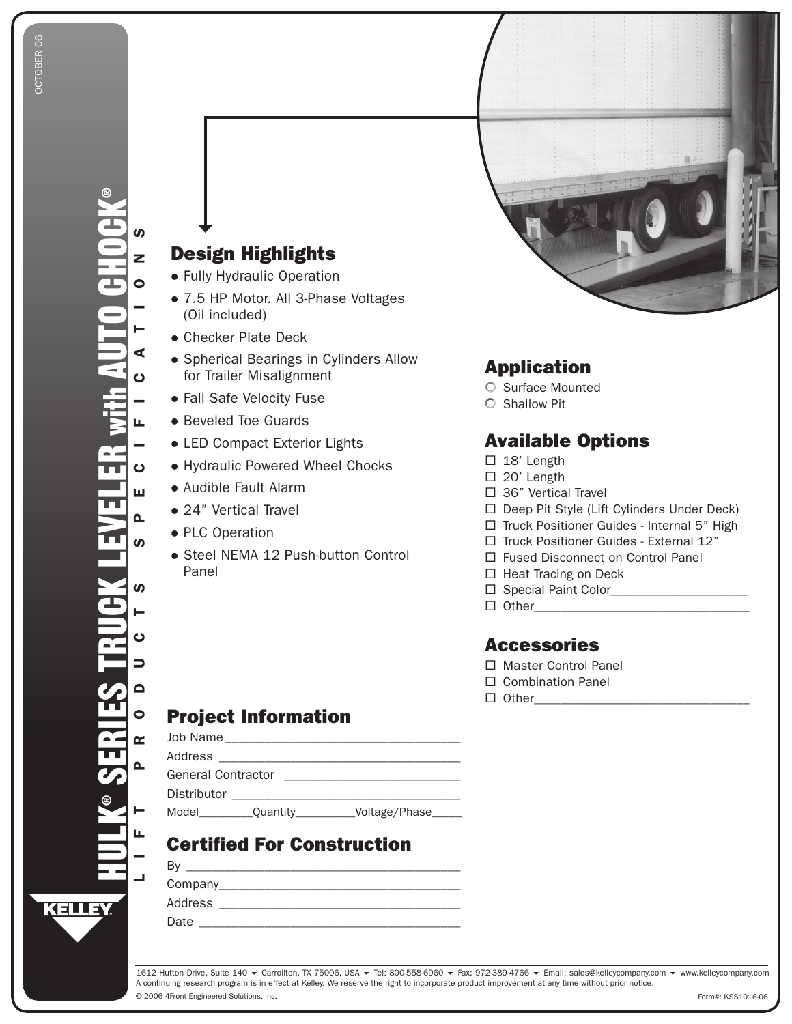# Design Highlights

- Fully Hydraulic operation
- 7.5 HP Motor. All 3-Phase Voltages (oil included)
- Checker Plate Deck
- **•** Spherical Bearings in Cylinders Allow for Trailer Misalignment
- Fall Safe Velocity Fuse
- Beveled Toe Guards
- LED Compact Exterior Lights
- Hydraulic Powered Wheel chocks
- Audible Fault Alarm
- 24" Vertical Travel
- PLc operation
- Steel NeMA 12 Push-button control Panel

### Application

- O Surface Mounted
- **C** Shallow Pit

### Available Options

- $\square$  18' Length
- □ 20' Length
- $\square$  36" Vertical Travel
- □ Deep Pit Style (Lift Cylinders Under Deck)
- $\Box$  Truck Positioner Guides Internal 5" High
- $\Box$  Truck Positioner Guides External 12"
- □ Fused Disconnect on Control Panel
- $\Box$  Heat Tracing on Deck
- Special Paint color\_\_\_\_\_\_\_\_\_\_\_\_\_\_\_\_\_\_\_\_\_
- other\_\_\_\_\_\_\_\_\_\_\_\_\_\_\_\_\_\_\_\_\_\_\_\_\_\_\_\_\_\_\_\_\_

#### Accessories

- □ Master Control Panel
- □ Combination Panel
- other\_\_\_\_\_\_\_\_\_\_\_\_\_\_\_\_\_\_\_\_\_\_\_\_\_\_\_\_\_\_\_\_\_

## Project Information

| Job Name                  |          |               |
|---------------------------|----------|---------------|
| Address                   |          |               |
| <b>General Contractor</b> |          |               |
| Distributor               |          |               |
| Model                     | Quantity | Voltage/Phase |

# Certified For Construction

| B٧      |  |  |
|---------|--|--|
| Company |  |  |
| Address |  |  |

Date \_\_\_\_\_\_\_\_\_\_\_\_\_\_\_\_\_\_\_\_\_\_\_\_\_\_\_\_\_\_\_\_\_\_\_\_\_\_\_\_

© 2006 4Front Engineered Solutions, Inc. 1612 Hutton Drive, Suite 140 ▼ Carrollton, TX 75006, USA ▼ Tel: 800-558-6960 ▼ Fax: 972-389-4766 ▼ Email: sales@kelleycompany.com ▼ www.kelleycompany.com A continuing research program is in effect at Kelley. We reserve the right to incorporate product improvement at any time without prior notice.